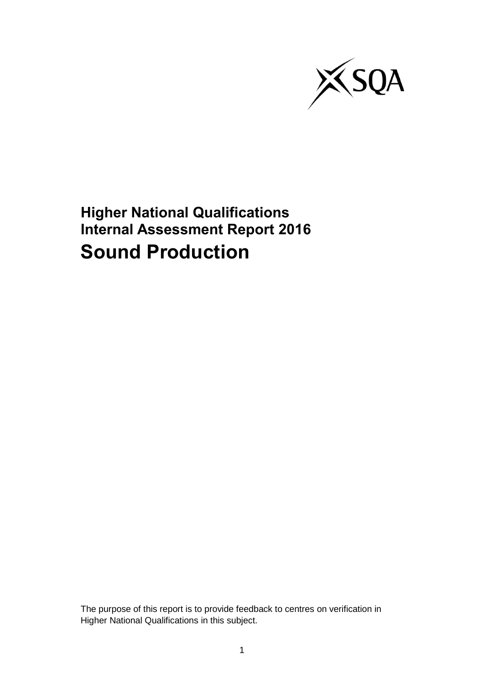

**Higher National Qualifications Internal Assessment Report 2016 Sound Production**

The purpose of this report is to provide feedback to centres on verification in Higher National Qualifications in this subject.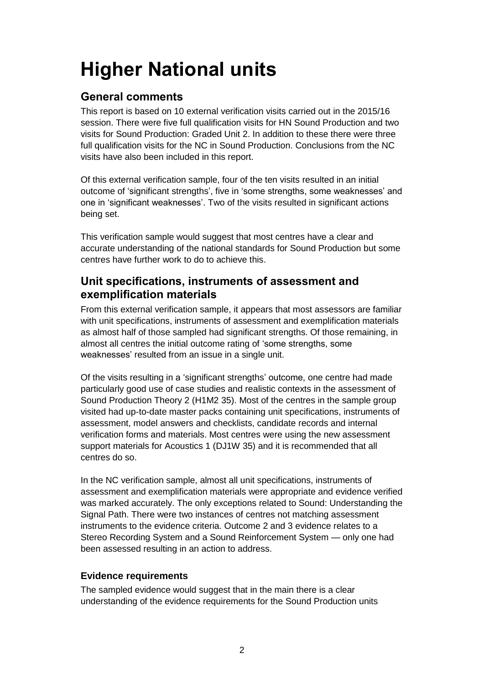# **Higher National units**

# **General comments**

This report is based on 10 external verification visits carried out in the 2015/16 session. There were five full qualification visits for HN Sound Production and two visits for Sound Production: Graded Unit 2. In addition to these there were three full qualification visits for the NC in Sound Production. Conclusions from the NC visits have also been included in this report.

Of this external verification sample, four of the ten visits resulted in an initial outcome of 'significant strengths', five in 'some strengths, some weaknesses' and one in 'significant weaknesses'. Two of the visits resulted in significant actions being set.

This verification sample would suggest that most centres have a clear and accurate understanding of the national standards for Sound Production but some centres have further work to do to achieve this.

## **Unit specifications, instruments of assessment and exemplification materials**

From this external verification sample, it appears that most assessors are familiar with unit specifications, instruments of assessment and exemplification materials as almost half of those sampled had significant strengths. Of those remaining, in almost all centres the initial outcome rating of 'some strengths, some weaknesses' resulted from an issue in a single unit.

Of the visits resulting in a 'significant strengths' outcome, one centre had made particularly good use of case studies and realistic contexts in the assessment of Sound Production Theory 2 (H1M2 35). Most of the centres in the sample group visited had up-to-date master packs containing unit specifications, instruments of assessment, model answers and checklists, candidate records and internal verification forms and materials. Most centres were using the new assessment support materials for Acoustics 1 (DJ1W 35) and it is recommended that all centres do so.

In the NC verification sample, almost all unit specifications, instruments of assessment and exemplification materials were appropriate and evidence verified was marked accurately. The only exceptions related to Sound: Understanding the Signal Path. There were two instances of centres not matching assessment instruments to the evidence criteria. Outcome 2 and 3 evidence relates to a Stereo Recording System and a Sound Reinforcement System — only one had been assessed resulting in an action to address.

## **Evidence requirements**

The sampled evidence would suggest that in the main there is a clear understanding of the evidence requirements for the Sound Production units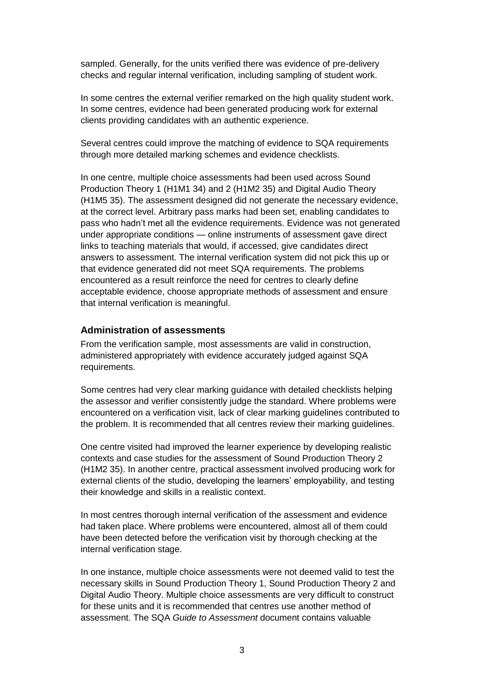sampled. Generally, for the units verified there was evidence of pre-delivery checks and regular internal verification, including sampling of student work.

In some centres the external verifier remarked on the high quality student work. In some centres, evidence had been generated producing work for external clients providing candidates with an authentic experience.

Several centres could improve the matching of evidence to SQA requirements through more detailed marking schemes and evidence checklists.

In one centre, multiple choice assessments had been used across Sound Production Theory 1 (H1M1 34) and 2 (H1M2 35) and Digital Audio Theory (H1M5 35). The assessment designed did not generate the necessary evidence, at the correct level. Arbitrary pass marks had been set, enabling candidates to pass who hadn't met all the evidence requirements. Evidence was not generated under appropriate conditions — online instruments of assessment gave direct links to teaching materials that would, if accessed, give candidates direct answers to assessment. The internal verification system did not pick this up or that evidence generated did not meet SQA requirements. The problems encountered as a result reinforce the need for centres to clearly define acceptable evidence, choose appropriate methods of assessment and ensure that internal verification is meaningful.

#### **Administration of assessments**

From the verification sample, most assessments are valid in construction, administered appropriately with evidence accurately judged against SQA requirements.

Some centres had very clear marking guidance with detailed checklists helping the assessor and verifier consistently judge the standard. Where problems were encountered on a verification visit, lack of clear marking guidelines contributed to the problem. It is recommended that all centres review their marking guidelines.

One centre visited had improved the learner experience by developing realistic contexts and case studies for the assessment of Sound Production Theory 2 (H1M2 35). In another centre, practical assessment involved producing work for external clients of the studio, developing the learners' employability, and testing their knowledge and skills in a realistic context.

In most centres thorough internal verification of the assessment and evidence had taken place. Where problems were encountered, almost all of them could have been detected before the verification visit by thorough checking at the internal verification stage.

In one instance, multiple choice assessments were not deemed valid to test the necessary skills in Sound Production Theory 1, Sound Production Theory 2 and Digital Audio Theory. Multiple choice assessments are very difficult to construct for these units and it is recommended that centres use another method of assessment. The SQA *Guide to Assessment* document contains valuable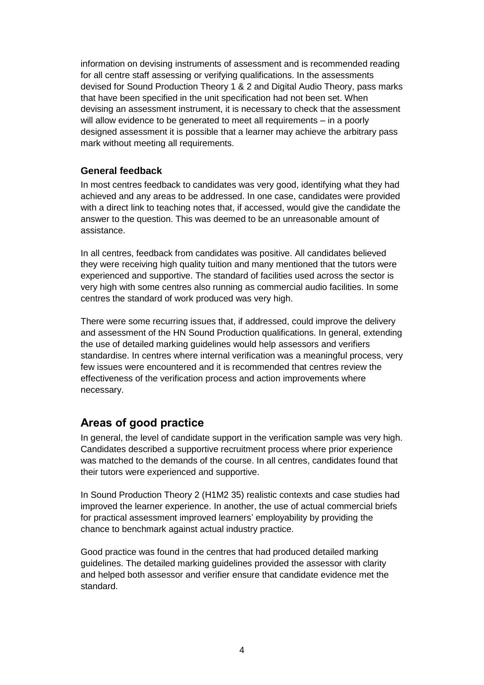information on devising instruments of assessment and is recommended reading for all centre staff assessing or verifying qualifications. In the assessments devised for Sound Production Theory 1 & 2 and Digital Audio Theory, pass marks that have been specified in the unit specification had not been set. When devising an assessment instrument, it is necessary to check that the assessment will allow evidence to be generated to meet all requirements – in a poorly designed assessment it is possible that a learner may achieve the arbitrary pass mark without meeting all requirements.

## **General feedback**

In most centres feedback to candidates was very good, identifying what they had achieved and any areas to be addressed. In one case, candidates were provided with a direct link to teaching notes that, if accessed, would give the candidate the answer to the question. This was deemed to be an unreasonable amount of assistance.

In all centres, feedback from candidates was positive. All candidates believed they were receiving high quality tuition and many mentioned that the tutors were experienced and supportive. The standard of facilities used across the sector is very high with some centres also running as commercial audio facilities. In some centres the standard of work produced was very high.

There were some recurring issues that, if addressed, could improve the delivery and assessment of the HN Sound Production qualifications. In general, extending the use of detailed marking guidelines would help assessors and verifiers standardise. In centres where internal verification was a meaningful process, very few issues were encountered and it is recommended that centres review the effectiveness of the verification process and action improvements where necessary.

# **Areas of good practice**

In general, the level of candidate support in the verification sample was very high. Candidates described a supportive recruitment process where prior experience was matched to the demands of the course. In all centres, candidates found that their tutors were experienced and supportive.

In Sound Production Theory 2 (H1M2 35) realistic contexts and case studies had improved the learner experience. In another, the use of actual commercial briefs for practical assessment improved learners' employability by providing the chance to benchmark against actual industry practice.

Good practice was found in the centres that had produced detailed marking guidelines. The detailed marking guidelines provided the assessor with clarity and helped both assessor and verifier ensure that candidate evidence met the standard.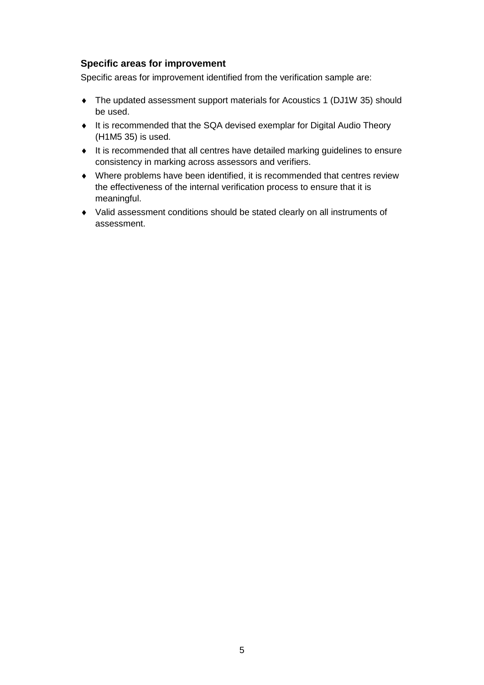### **Specific areas for improvement**

Specific areas for improvement identified from the verification sample are:

- The updated assessment support materials for Acoustics 1 (DJ1W 35) should be used.
- It is recommended that the SQA devised exemplar for Digital Audio Theory (H1M5 35) is used.
- It is recommended that all centres have detailed marking guidelines to ensure consistency in marking across assessors and verifiers.
- Where problems have been identified, it is recommended that centres review the effectiveness of the internal verification process to ensure that it is meaningful.
- Valid assessment conditions should be stated clearly on all instruments of assessment.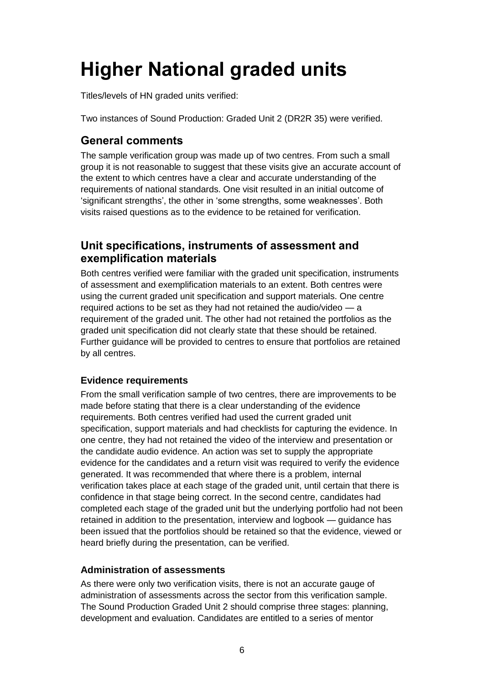# **Higher National graded units**

Titles/levels of HN graded units verified:

Two instances of Sound Production: Graded Unit 2 (DR2R 35) were verified.

## **General comments**

The sample verification group was made up of two centres. From such a small group it is not reasonable to suggest that these visits give an accurate account of the extent to which centres have a clear and accurate understanding of the requirements of national standards. One visit resulted in an initial outcome of 'significant strengths', the other in 'some strengths, some weaknesses'. Both visits raised questions as to the evidence to be retained for verification.

## **Unit specifications, instruments of assessment and exemplification materials**

Both centres verified were familiar with the graded unit specification, instruments of assessment and exemplification materials to an extent. Both centres were using the current graded unit specification and support materials. One centre required actions to be set as they had not retained the audio/video — a requirement of the graded unit. The other had not retained the portfolios as the graded unit specification did not clearly state that these should be retained. Further guidance will be provided to centres to ensure that portfolios are retained by all centres.

## **Evidence requirements**

From the small verification sample of two centres, there are improvements to be made before stating that there is a clear understanding of the evidence requirements. Both centres verified had used the current graded unit specification, support materials and had checklists for capturing the evidence. In one centre, they had not retained the video of the interview and presentation or the candidate audio evidence. An action was set to supply the appropriate evidence for the candidates and a return visit was required to verify the evidence generated. It was recommended that where there is a problem, internal verification takes place at each stage of the graded unit, until certain that there is confidence in that stage being correct. In the second centre, candidates had completed each stage of the graded unit but the underlying portfolio had not been retained in addition to the presentation, interview and logbook — guidance has been issued that the portfolios should be retained so that the evidence, viewed or heard briefly during the presentation, can be verified.

## **Administration of assessments**

As there were only two verification visits, there is not an accurate gauge of administration of assessments across the sector from this verification sample. The Sound Production Graded Unit 2 should comprise three stages: planning, development and evaluation. Candidates are entitled to a series of mentor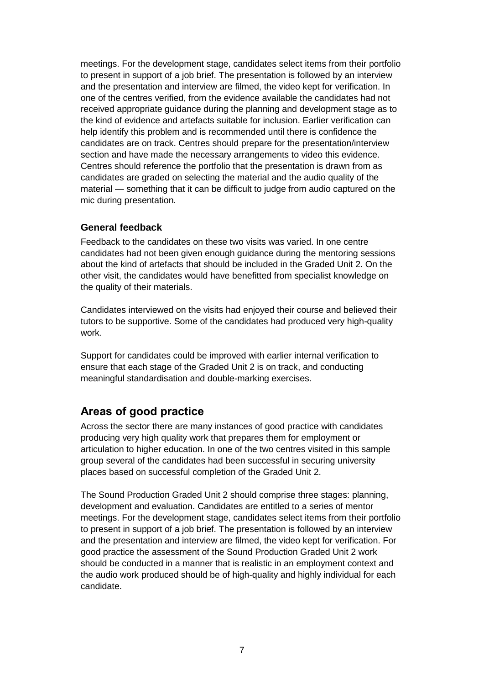meetings. For the development stage, candidates select items from their portfolio to present in support of a job brief. The presentation is followed by an interview and the presentation and interview are filmed, the video kept for verification. In one of the centres verified, from the evidence available the candidates had not received appropriate guidance during the planning and development stage as to the kind of evidence and artefacts suitable for inclusion. Earlier verification can help identify this problem and is recommended until there is confidence the candidates are on track. Centres should prepare for the presentation/interview section and have made the necessary arrangements to video this evidence. Centres should reference the portfolio that the presentation is drawn from as candidates are graded on selecting the material and the audio quality of the material — something that it can be difficult to judge from audio captured on the mic during presentation.

### **General feedback**

Feedback to the candidates on these two visits was varied. In one centre candidates had not been given enough guidance during the mentoring sessions about the kind of artefacts that should be included in the Graded Unit 2. On the other visit, the candidates would have benefitted from specialist knowledge on the quality of their materials.

Candidates interviewed on the visits had enjoyed their course and believed their tutors to be supportive. Some of the candidates had produced very high-quality work.

Support for candidates could be improved with earlier internal verification to ensure that each stage of the Graded Unit 2 is on track, and conducting meaningful standardisation and double-marking exercises.

## **Areas of good practice**

Across the sector there are many instances of good practice with candidates producing very high quality work that prepares them for employment or articulation to higher education. In one of the two centres visited in this sample group several of the candidates had been successful in securing university places based on successful completion of the Graded Unit 2.

The Sound Production Graded Unit 2 should comprise three stages: planning, development and evaluation. Candidates are entitled to a series of mentor meetings. For the development stage, candidates select items from their portfolio to present in support of a job brief. The presentation is followed by an interview and the presentation and interview are filmed, the video kept for verification. For good practice the assessment of the Sound Production Graded Unit 2 work should be conducted in a manner that is realistic in an employment context and the audio work produced should be of high-quality and highly individual for each candidate.